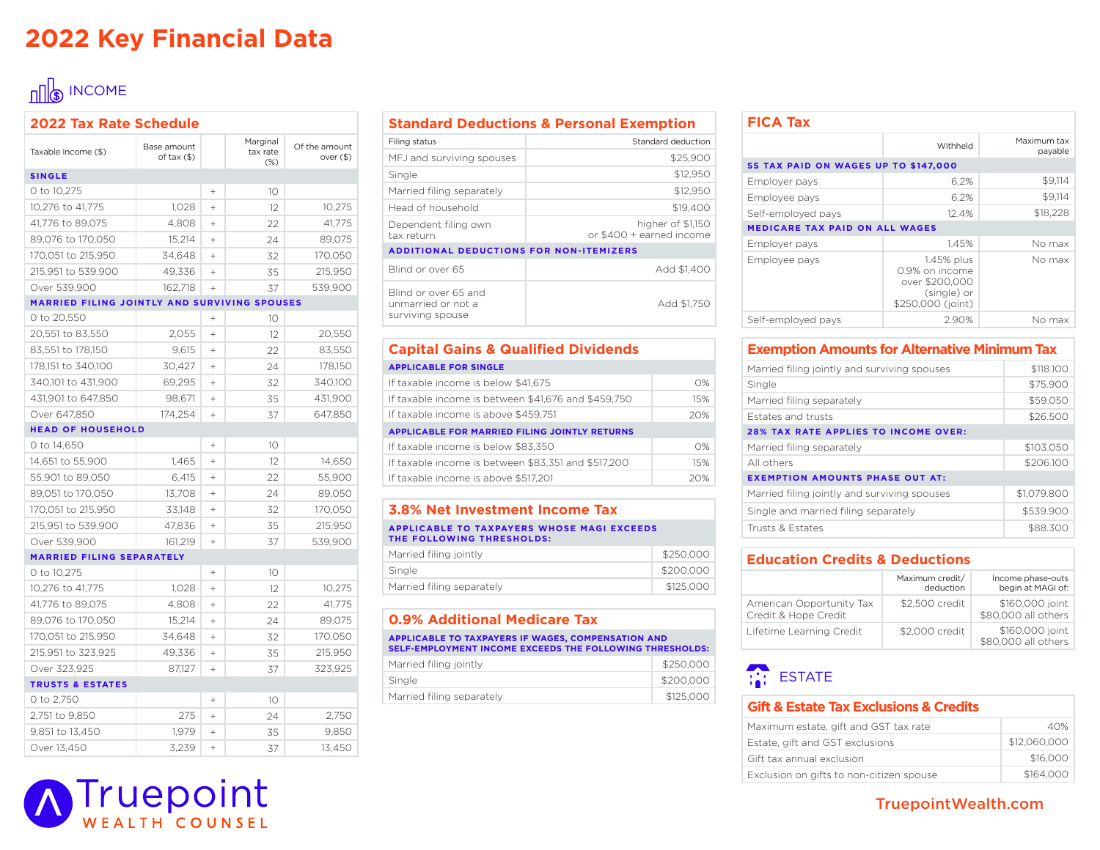# **2022 Key Financial Data**

# $\ln\left|\frac{1}{3}\right|$  INCOME

| <b>2022 Tax Rate Schedule</b>                |                            |           |                                |                              |  |
|----------------------------------------------|----------------------------|-----------|--------------------------------|------------------------------|--|
| Taxable Income (\$)                          | Base amount<br>of tax (\$) |           | Marginal<br>tax rate<br>$(\%)$ | Of the amount<br>over $(\$)$ |  |
| <b>SINGLE</b>                                |                            |           |                                |                              |  |
| 0 to 10,275                                  |                            | $\ddot{}$ | 10 <sup>°</sup>                |                              |  |
| 10,276 to 41,775                             | 1,028                      | $+$       | 12                             | 10,275                       |  |
| 41,776 to 89,075                             | 4,808                      | $+$       | 22                             | 41,775                       |  |
| 89,076 to 170,050                            | 15,214                     | $+$       | 24                             | 89,075                       |  |
| 170,051 to 215,950                           | 34,648                     | $\ddot{}$ | 32                             | 170,050                      |  |
| 215,951 to 539,900                           | 49,336                     | $^{+}$    | 35                             | 215,950                      |  |
| Over 539,900                                 | 162,718                    | $+$       | 37                             | 539,900                      |  |
| MARRIED FILING JOINTLY AND SURVIVING SPOUSES |                            |           |                                |                              |  |
| 0 to 20,550                                  |                            | $\ddot{}$ | 10                             |                              |  |
| 20,551 to 83,550                             | 2,055                      | $+$       | 12                             | 20,550                       |  |
| 83,551 to 178,150                            | 9,615                      | $+$       | 22                             | 83,550                       |  |
| 178,151 to 340,100                           | 30,427                     | $+$       | 24                             | 178,150                      |  |
| 340,101 to 431,900                           | 69,295                     | $\ddot{}$ | 32                             | 340,100                      |  |
| 431,901 to 647,850                           | 98,671                     | $+$       | 35                             | 431,900                      |  |
| Over 647,850                                 | 174,254                    | $+$       | 37                             | 647,850                      |  |
| <b>HEAD OF HOUSEHOLD</b>                     |                            |           |                                |                              |  |
| 0 to 14,650                                  |                            | $^{+}$    | 10                             |                              |  |
| 14,651 to 55,900                             | 1,465                      | $\ddot{}$ | 12                             | 14,650                       |  |
| 55,901 to 89,050                             | 6,415                      | $\ddot{}$ | 22                             | 55,900                       |  |
| 89,051 to 170,050                            | 13,708                     | $+$       | 24                             | 89,050                       |  |
| 170,051 to 215,950                           | 33,148                     | $+$       | 32                             | 170,050                      |  |
| 215,951 to 539,900                           | 47,836                     | $+$       | 35                             | 215,950                      |  |
| Over 539,900                                 | 161,219                    | $+$       | 37                             | 539,900                      |  |
| <b>MARRIED FILING SEPARATELY</b>             |                            |           |                                |                              |  |
| 0 to 10,275                                  |                            | $^{+}$    | 10                             |                              |  |
| 10,276 to 41,775                             | 1,028                      | $^{+}$    | 12                             | 10,275                       |  |
| 41,776 to 89,075                             | 4,808                      | $+$       | 22                             | 41,775                       |  |
| 89,076 to 170,050                            | 15,214                     | $+$       | 24                             | 89,075                       |  |
| 170,051 to 215,950                           | 34,648                     | $+$       | 32                             | 170,050                      |  |
| 215,951 to 323,925                           | 49,336                     | $+$       | 35                             | 215,950                      |  |
| Over 323,925                                 | 87,127                     | $+$       | 37                             | 323,925                      |  |
| <b>TRUSTS &amp; ESTATES</b>                  |                            |           |                                |                              |  |
| 0 to 2,750                                   |                            | $\ddot{}$ | 10                             |                              |  |
| 2,751 to 9,850                               | 275                        | $\ddot{}$ | 24                             | 2,750                        |  |
| 9,851 to 13,450                              | 1.979                      | $+$       | 35                             | 9,850                        |  |
| Over 13,450                                  | 3,239                      | $\ddot{}$ | 37                             | 13,450                       |  |

### **Standard Deductions & Personal Exemption**

| Filing status                                                  | Standard deduction                            |
|----------------------------------------------------------------|-----------------------------------------------|
| MFJ and surviving spouses                                      | \$25,900                                      |
| Single                                                         | \$12,950                                      |
| Married filing separately                                      | \$12,950                                      |
| Head of household                                              | \$19,400                                      |
| Dependent filing own<br>tax return                             | higher of \$1,150<br>or \$400 + earned income |
| <b>ADDITIONAL DEDUCTIONS FOR NON-ITEMIZERS</b>                 |                                               |
| Blind or over 65                                               | Add \$1.400                                   |
| Blind or over 65 and<br>unmarried or not a<br>surviving spouse | Add \$1.750                                   |

#### **Capital Gains & Qualified Dividends APPLICABLE FOR SINGLE**

| <b>APPLICABLE FOR SINGLE</b>                         |            |  |  |
|------------------------------------------------------|------------|--|--|
| If taxable income is below \$41,675                  | $O\%$      |  |  |
| If taxable income is between \$41,676 and \$459,750  | 15%        |  |  |
| If taxable income is above \$459,751                 | 20%        |  |  |
| <b>APPLICABLE FOR MARRIED FILING JOINTLY RETURNS</b> |            |  |  |
| If taxable income is below \$83.350                  | $\Omega\%$ |  |  |
| If taxable income is between \$83.351 and \$517,200  | 15%        |  |  |
| If taxable income is above \$517,201                 | 20%        |  |  |
|                                                      |            |  |  |

### **3.8% Net Investment Income Tax**

**APPLICABLE TO TAXPAYERS WHOSE MAGI EXCEEDS THE FOLLOWING THRESHOLDS:**

| Married filing jointly    | \$250,000 |
|---------------------------|-----------|
| Single                    | \$200,000 |
| Married filing separately | \$125,000 |

### **0.9% Additional Medicare Tax**

#### **APPLICABLE TO TAXPAYERS IF WAGES, COMPENSATION AND SELF-EMPLOYMENT INCOME EXCEEDS THE FOLLOWING THRESHOLDS:**

| Married filing jointly    | \$250,000 |
|---------------------------|-----------|
| Single                    | \$200.000 |
| Married filing separately | \$125,000 |

## **FICA Tax**

| FILA IAX                              |                                                                                    |                        |  |  |
|---------------------------------------|------------------------------------------------------------------------------------|------------------------|--|--|
|                                       | Withheld                                                                           | Maximum tax<br>payable |  |  |
| SS TAX PAID ON WAGES UP TO \$147,000  |                                                                                    |                        |  |  |
| Employer pays                         | 6.2%                                                                               | \$9.114                |  |  |
| Employee pays                         | 6.2%                                                                               | \$9.114                |  |  |
| Self-employed pays                    | 12.4%                                                                              | \$18,228               |  |  |
| <b>MEDICARE TAX PAID ON ALL WAGES</b> |                                                                                    |                        |  |  |
| Employer pays                         | 1.45%                                                                              | No max                 |  |  |
| Employee pays                         | 1.45% plus<br>0.9% on income<br>over \$200,000<br>(single) or<br>\$250,000 (joint) | No max                 |  |  |
| Self-employed pays                    | 2.90%                                                                              | No max                 |  |  |

### **Exemption Amounts for Alternative Minimum Tax**

| Married filing jointly and surviving spouses | \$118,100   |
|----------------------------------------------|-------------|
| Single                                       | \$75,900    |
| Married filing separately                    | \$59.050    |
| Estates and trusts                           | \$26,500    |
| <b>28% TAX RATE APPLIES TO INCOME OVER:</b>  |             |
| Married filing separately                    | \$103.050   |
| All others                                   | \$206,100   |
| <b>EXEMPTION AMOUNTS PHASE OUT AT:</b>       |             |
| Married filing jointly and surviving spouses | \$1,079,800 |
| Single and married filing separately         | \$539.900   |
| Trusts & Estates                             | \$88,300    |

### **Education Credits & Deductions**

|                                                  | Maximum credit/<br>deduction | Income phase-outs<br>begin at MAGI of: |
|--------------------------------------------------|------------------------------|----------------------------------------|
| American Opportunity Tax<br>Credit & Hope Credit | \$2,500 credit               | \$160,000 joint<br>\$80,000 all others |
| Lifetime Learning Credit                         | \$2,000 credit               | \$160,000 joint<br>\$80,000 all others |

# **ESTATE**

#### **Gift & Estate Tax Exclusions & Credits**

| Maximum estate, gift and GST tax rate    | 40%          |
|------------------------------------------|--------------|
| Estate, gift and GST exclusions          | \$12,060,000 |
| Gift tax annual exclusion                | \$16,000     |
| Exclusion on gifts to non-citizen spouse | \$164,000    |



TruepointWealth.com